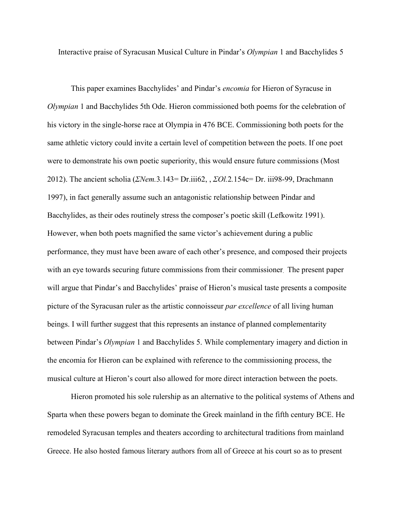Interactive praise of Syracusan Musical Culture in Pindar's *Olympian* 1 and Bacchylides 5

This paper examines Bacchylides' and Pindar's *encomia* for Hieron of Syracuse in *Olympian* 1 and Bacchylides 5th Ode. Hieron commissioned both poems for the celebration of his victory in the single-horse race at Olympia in 476 BCE. Commissioning both poets for the same athletic victory could invite a certain level of competition between the poets. If one poet were to demonstrate his own poetic superiority, this would ensure future commissions (Most 2012). The ancient scholia (*ΣNem.*3*.*143= Dr.iii62, , *ΣOl.*2*.*154c= Dr. iii98-99, Drachmann 1997), in fact generally assume such an antagonistic relationship between Pindar and Bacchylides, as their odes routinely stress the composer's poetic skill (Lefkowitz 1991). However, when both poets magnified the same victor's achievement during a public performance, they must have been aware of each other's presence, and composed their projects with an eye towards securing future commissions from their commissioner. The present paper will argue that Pindar's and Bacchylides' praise of Hieron's musical taste presents a composite picture of the Syracusan ruler as the artistic connoisseur *par excellence* of all living human beings. I will further suggest that this represents an instance of planned complementarity between Pindar's *Olympian* 1 and Bacchylides 5. While complementary imagery and diction in the encomia for Hieron can be explained with reference to the commissioning process, the musical culture at Hieron's court also allowed for more direct interaction between the poets.

Hieron promoted his sole rulership as an alternative to the political systems of Athens and Sparta when these powers began to dominate the Greek mainland in the fifth century BCE. He remodeled Syracusan temples and theaters according to architectural traditions from mainland Greece. He also hosted famous literary authors from all of Greece at his court so as to present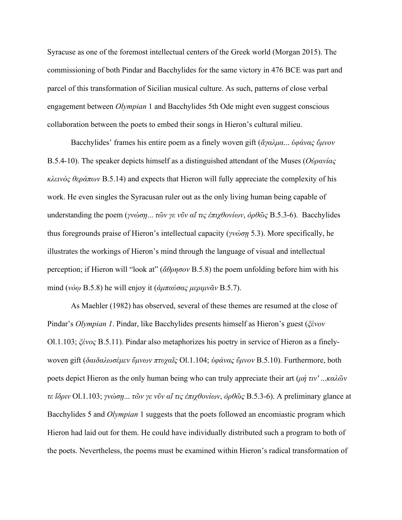Syracuse as one of the foremost intellectual centers of the Greek world (Morgan 2015). The commissioning of both Pindar and Bacchylides for the same victory in 476 BCE was part and parcel of this transformation of Sicilian musical culture. As such, patterns of close verbal engagement between *Olympian* 1 and Bacchylides 5th Ode might even suggest conscious collaboration between the poets to embed their songs in Hieron's cultural milieu.

Bacchylides' frames his entire poem as a finely woven gift (*ἄγαλμα*... *ὑφάνας ὕμνον* B.5.4-10). The speaker depicts himself as a distinguished attendant of the Muses (*Οὐρανίας κλεινὸς θεράπων* Β.5.14) and expects that Hieron will fully appreciate the complexity of his work. He even singles the Syracusan ruler out as the only living human being capable of understanding the poem (*γνώσῃ*... *τῶν γε νῦν αἴ τις ἐπιχθονίων*, *ὀρθῶς* B.5.3-6). Bacchylides thus foregrounds praise of Hieron's intellectual capacity (*γνώσῃ* 5.3). More specifically, he illustrates the workings of Hieron's mind through the language of visual and intellectual perception; if Hieron will "look at" (*ἄθρησον* B.5.8) the poem unfolding before him with his mind (*νόῳ* B.5.8) he will enjoy it (*ἀμπαύσας μεριμνᾶν* B.5.7).

As Maehler (1982) has observed, several of these themes are resumed at the close of Pindar's *Olympian 1*. Pindar, like Bacchylides presents himself as Hieron's guest (*ξένον* Ol.1.103; *ξένος* B.5.11). Pindar also metaphorizes his poetry in service of Hieron as a finelywoven gift (*δαιδαλωσέμεν ὕμνων πτυχαῖς* Ol.1.104; *ὑφάνας ὕμνον* B.5.10). Furthermore, both poets depict Hieron as the only human being who can truly appreciate their art (*μή τιν'* ...*καλῶν τε ἴδριν* Ol.1.103; *γνώσῃ*... *τῶν γε νῦν αἴ τις ἐπιχθονίων*, *ὀρθῶς* B.5.3-6). A preliminary glance at Bacchylides 5 and *Olympian* 1 suggests that the poets followed an encomiastic program which Hieron had laid out for them. He could have individually distributed such a program to both of the poets. Nevertheless, the poems must be examined within Hieron's radical transformation of